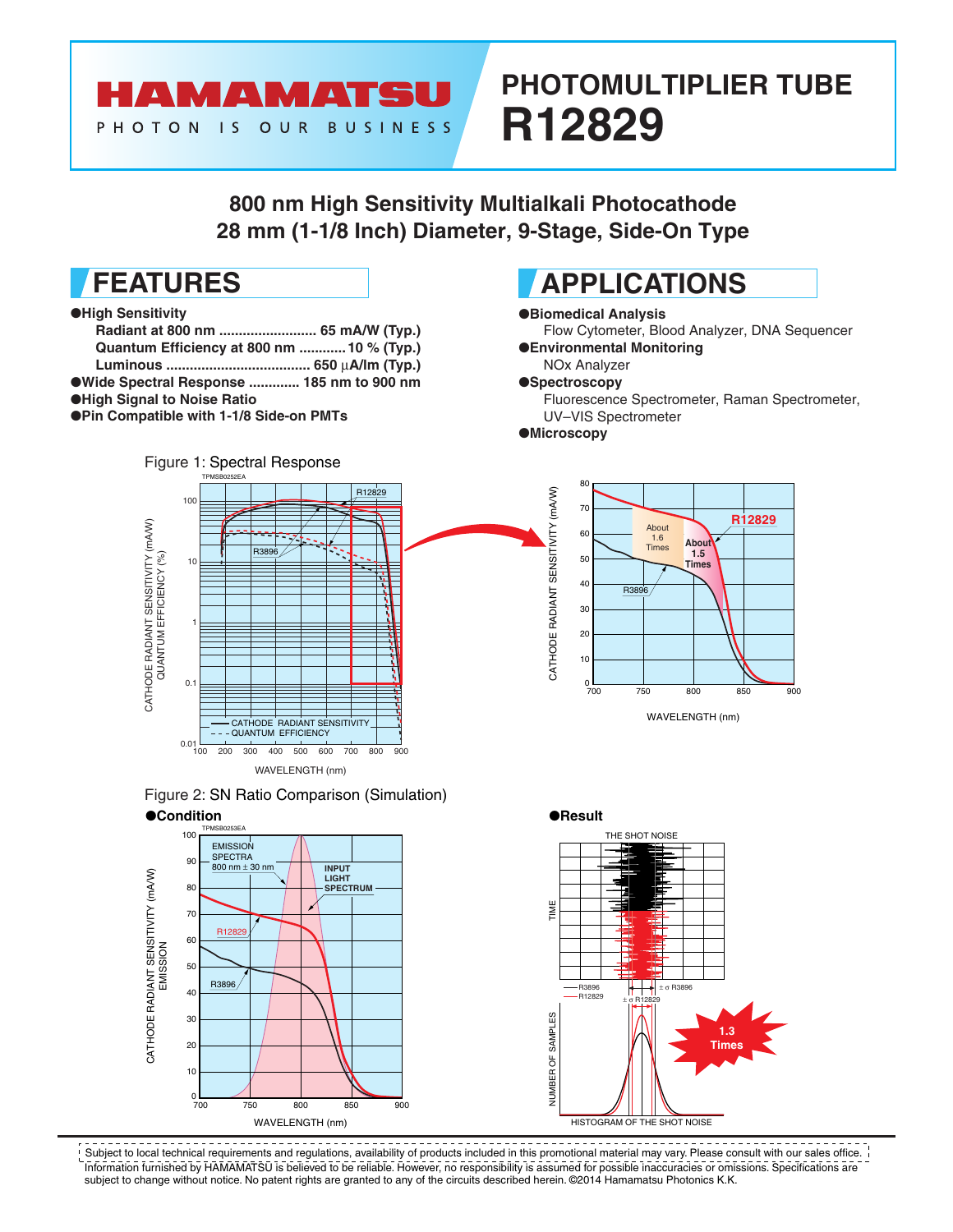

10

 $_{700}^{0}$ 

700 800 750 850 900 WAVELENGTH (nm)

# **PHOTOMULTIPLIER TUBE R12829**

## **800 nm High Sensitivity Multialkali Photocathode 28 mm (1-1/8 Inch) Diameter, 9-Stage, Side-On Type**



<u>\_\_\_\_\_\_\_\_\_\_\_</u>\_ Subject to local technical requirements and regulations, availability of products included in this promotional material may vary. Please consult with our sales office. Information furnished by HAMAMATSU is believed to be reliable. However, no responsibility is assumed for possible inaccuracies or omissions. Specifications are subject to change without notice. No patent rights are granted to any of the circuits described herein. ©2014 Hamamatsu Photonics K.K.

HISTOGRAM OF THE SHOT NOISE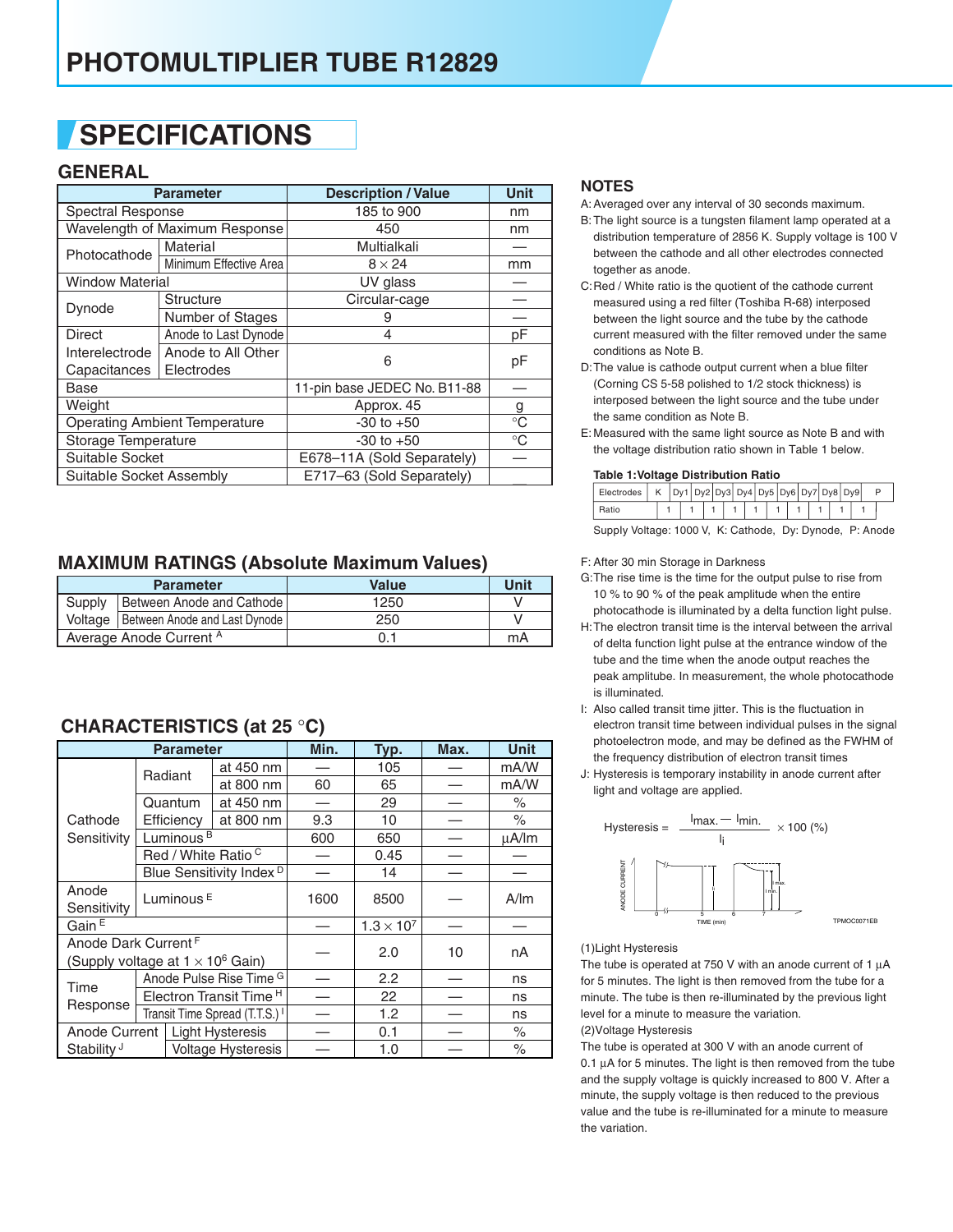## **SPECIFICATIONS**

### **GENERAL**

|                          | <b>Parameter</b>                     | <b>Description / Value</b>   | <b>Unit</b> |
|--------------------------|--------------------------------------|------------------------------|-------------|
| <b>Spectral Response</b> |                                      | 185 to 900                   | nm          |
|                          | Wavelength of Maximum Response       | 450                          | nm          |
| Photocathode             | Material                             | Multialkali                  |             |
|                          | Minimum Effective Area               | $8 \times 24$                | mm          |
| <b>Window Material</b>   |                                      | UV glass                     |             |
| Dynode                   | Structure                            | Circular-cage                |             |
|                          | Number of Stages                     | 9                            |             |
| Direct                   | Anode to Last Dynode                 | 4                            | pF          |
| Interelectrode           | Anode to All Other                   | 6                            | pF          |
| Capacitances             | Electrodes                           |                              |             |
| Base                     |                                      | 11-pin base JEDEC No. B11-88 |             |
| Weight                   |                                      | Approx. 45                   | g           |
|                          | <b>Operating Ambient Temperature</b> | $-30$ to $+50$               | $^{\circ}C$ |
| Storage Temperature      |                                      | $-30$ to $+50$               | $^{\circ}C$ |
| Suitable Socket          |                                      | E678-11A (Sold Separately)   |             |
| Suitable Socket Assembly |                                      | E717-63 (Sold Separately)    |             |

### **MAXIMUM RATINGS (Absolute Maximum Values)**

|                         | <b>Parameter</b>                        | <b>Value</b> | Unit |
|-------------------------|-----------------------------------------|--------------|------|
| Supply                  | Between Anode and Cathode               | 1250         |      |
|                         | Voltage   Between Anode and Last Dynode | 250          |      |
| Average Anode Current A |                                         | 0.1          | mA   |

### **CHARACTERISTlCS (at 25** °**C)**

|                        |                                          | <b>Parameter</b>      |                                           | Min. | Typ.                | Max. | <b>Unit</b> |  |  |
|------------------------|------------------------------------------|-----------------------|-------------------------------------------|------|---------------------|------|-------------|--|--|
|                        |                                          | at 450 nm<br>Radiant  |                                           |      | 105                 |      | mA/W        |  |  |
|                        |                                          | at 800 nm             |                                           | 60   | 65                  |      | mA/W        |  |  |
|                        |                                          | Quantum               | at 450 nm                                 |      | 29                  |      | $\%$        |  |  |
| Cathode                |                                          | Efficiency            | at 800 nm                                 | 9.3  | 10                  |      | $\%$        |  |  |
| Sensitivity            |                                          | Luminous <sup>B</sup> |                                           | 600  | 650                 |      | $\mu$ A/lm  |  |  |
|                        |                                          |                       | Red / White Ratio <sup>C</sup>            |      | 0.45                |      |             |  |  |
|                        |                                          |                       | Blue Sensitivity Index <sup>D</sup>       |      | 14                  |      |             |  |  |
| Anode                  |                                          | Luminous <sup>E</sup> |                                           | 1600 | 8500                |      | A/m         |  |  |
| Sensitivity            |                                          |                       |                                           |      |                     |      |             |  |  |
| Gain <sup>E</sup>      |                                          |                       |                                           |      | $1.3 \times 10^{7}$ |      |             |  |  |
|                        | Anode Dark Current <sup>F</sup>          |                       |                                           | 2.0  | 10                  | nA   |             |  |  |
|                        | (Supply voltage at $1 \times 10^6$ Gain) |                       |                                           |      |                     |      |             |  |  |
| Time<br>Response       |                                          |                       | Anode Pulse Rise Time <sup>G</sup>        |      | 2.2                 |      | ns          |  |  |
|                        |                                          |                       | Electron Transit Time <sup>H</sup>        |      | 22                  |      | ns          |  |  |
|                        |                                          |                       | Transit Time Spread (T.T.S.) <sup>1</sup> |      | 1.2                 |      | ns          |  |  |
|                        | Anode Current<br><b>Light Hysteresis</b> |                       |                                           |      | 0.1                 |      | $\%$        |  |  |
| Stability <sup>J</sup> |                                          |                       | <b>Voltage Hysteresis</b>                 |      | 1.0                 |      | $\%$        |  |  |

#### **NOTES**

- A: Averaged over any interval of 30 seconds maximum.
- B: The light source is a tungsten filament lamp operated at a distribution temperature of 2856 K. Supply voltage is 100 V between the cathode and all other electrodes connected together as anode.
- C: Red / White ratio is the quotient of the cathode current measured using a red filter (Toshiba R-68) interposed between the light source and the tube by the cathode current measured with the filter removed under the same conditions as Note B.
- D: The value is cathode output current when a blue filter (Corning CS 5-58 polished to 1/2 stock thickness) is interposed between the light source and the tube under the same condition as Note B.
- E: Measured with the same light source as Note B and with the voltage distribution ratio shown in Table 1 below.

#### **Table 1:Voltage Distribution Ratio**

| Electrodes |  |  |  | $Dy1$ $Dy2$ $Dy3$ $Dy4$ $Dy5$ $Dy6$ $Dy7$ $Dy8$ $Dy9$ |  |  |  |  |  |  |  |
|------------|--|--|--|-------------------------------------------------------|--|--|--|--|--|--|--|
|            |  |  |  |                                                       |  |  |  |  |  |  |  |

SuppIy Voltage: 1000 V, K: Cathode, Dy: Dynode, P: Anode

#### F: After 30 min Storage in Darkness

- G: The rise time is the time for the output pulse to rise from 10 % to 90 % of the peak amplitude when the entire photocathode is illuminated by a delta function light pulse.
- H: The electron transit time is the interval between the arrival of delta function light pulse at the entrance window of the tube and the time when the anode output reaches the peak amplitube. In measurement, the whole photocathode is illuminated.
- I: Also called transit time jitter. This is the fluctuation in electron transit time between individual pulses in the signal photoelectron mode, and may be defined as the FWHM of the frequency distribution of electron transit times
- J: Hysteresis is temporary instability in anode current after light and voltage are applied.



#### (1)Light Hysteresis

The tube is operated at 750 V with an anode current of 1  $\mu$ A for 5 minutes. The light is then removed from the tube for a minute. The tube is then re-illuminated by the previous light level for a minute to measure the variation.

(2)Voltage Hysteresis

The tube is operated at 300 V with an anode current of 0.1 µA for 5 minutes. The light is then removed from the tube and the supply voltage is quickly increased to 800 V. After a minute, the supply voltage is then reduced to the previous value and the tube is re-illuminated for a minute to measure the variation.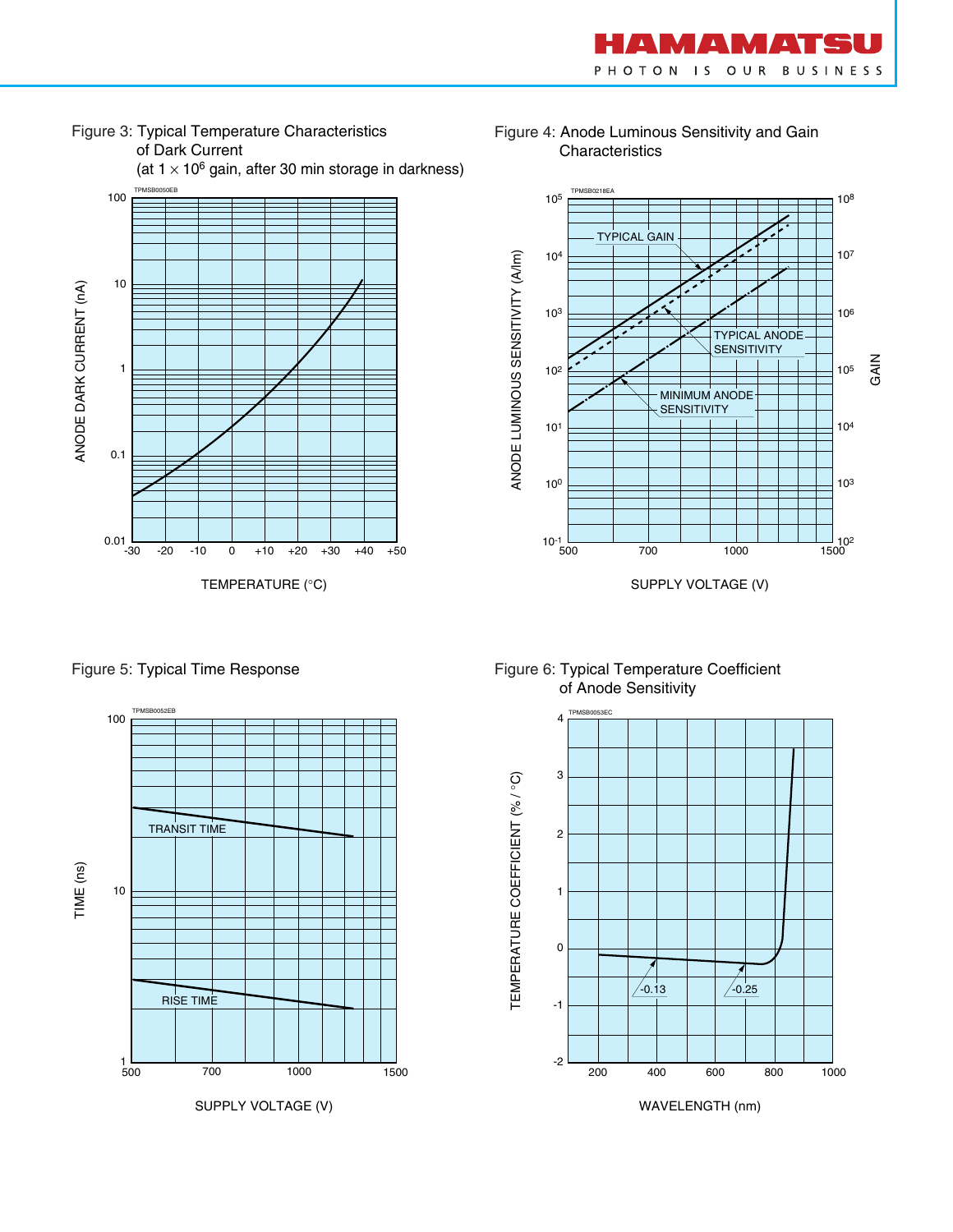



(at  $1 \times 10^6$  gain, after 30 min storage in darkness)



Figure 4: Anode Luminous Sensitivity and Gain **Characteristics** 



TPMSB0052EB TPMSB0053EC 100 4 3 TEMPERATURE COEFFICIENT (%/°C) TEMPERATURE COEFFICIENT (% / °C) TRANSIT TIME 2 TIME (ns) 10 1  $\mathbf{0}$ RISE TIME -1 -2  $1 - 500$ 500 700 1000 1500 SUPPLY VOLTAGE (V) WAVELENGTH (nm)

Figure 5: Typical Time Response Figure 6: Typical Temperature Coefficient of Anode Sensitivity